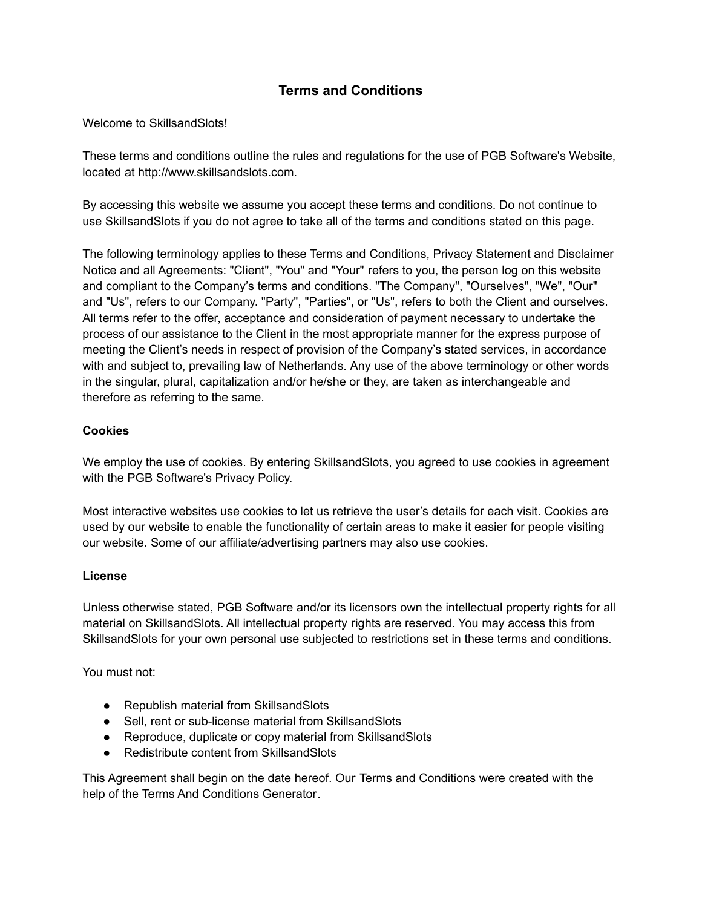# **Terms and Conditions**

Welcome to SkillsandSlots!

These terms and conditions outline the rules and regulations for the use of PGB Software's Website, located at http://www.skillsandslots.com.

By accessing this website we assume you accept these terms and conditions. Do not continue to use SkillsandSlots if you do not agree to take all of the terms and conditions stated on this page.

The following terminology applies to these Terms and Conditions, Privacy Statement and Disclaimer Notice and all Agreements: "Client", "You" and "Your" refers to you, the person log on this website and compliant to the Company's terms and conditions. "The Company", "Ourselves", "We", "Our" and "Us", refers to our Company. "Party", "Parties", or "Us", refers to both the Client and ourselves. All terms refer to the offer, acceptance and consideration of payment necessary to undertake the process of our assistance to the Client in the most appropriate manner for the express purpose of meeting the Client's needs in respect of provision of the Company's stated services, in accordance with and subject to, prevailing law of Netherlands. Any use of the above terminology or other words in the singular, plural, capitalization and/or he/she or they, are taken as interchangeable and therefore as referring to the same.

#### **Cookies**

We employ the use of cookies. By entering SkillsandSlots, you agreed to use cookies in agreement with the PGB Software's Privacy Policy.

Most interactive websites use cookies to let us retrieve the user's details for each visit. Cookies are used by our website to enable the functionality of certain areas to make it easier for people visiting our website. Some of our affiliate/advertising partners may also use cookies.

### **License**

Unless otherwise stated, PGB Software and/or its licensors own the intellectual property rights for all material on SkillsandSlots. All intellectual property rights are reserved. You may access this from SkillsandSlots for your own personal use subjected to restrictions set in these terms and conditions.

You must not:

- Republish material from SkillsandSlots
- Sell, rent or sub-license material from SkillsandSlots
- Reproduce, duplicate or copy material from SkillsandSlots
- Redistribute content from SkillsandSlots

This Agreement shall begin on the date hereof. Our Terms and Conditions were created with the help of the [Terms And Conditions Generator.](https://www.termsandconditionsgenerator.com/)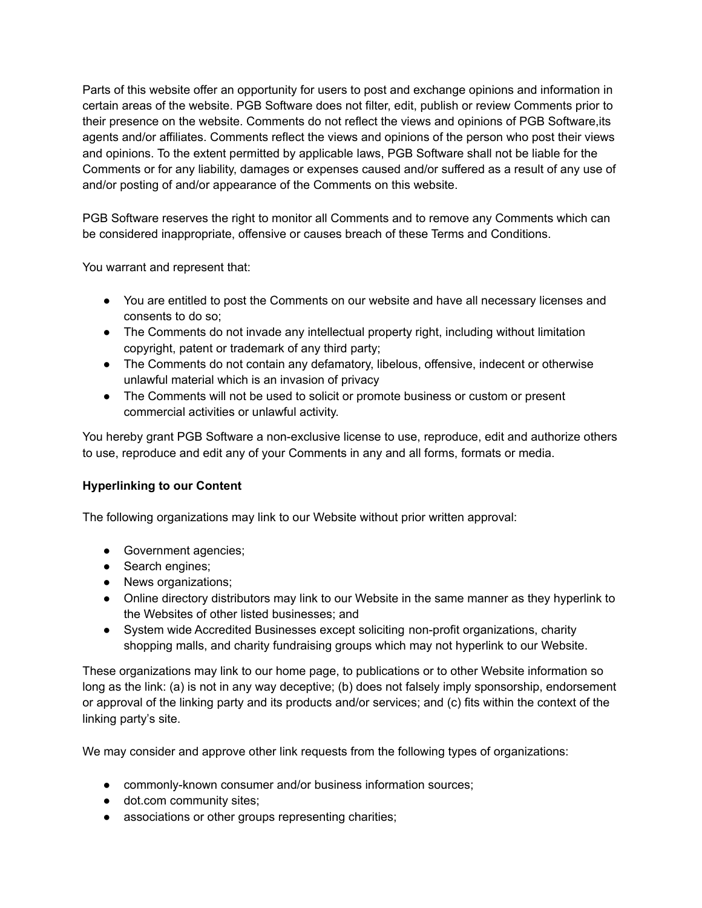Parts of this website offer an opportunity for users to post and exchange opinions and information in certain areas of the website. PGB Software does not filter, edit, publish or review Comments prior to their presence on the website. Comments do not reflect the views and opinions of PGB Software,its agents and/or affiliates. Comments reflect the views and opinions of the person who post their views and opinions. To the extent permitted by applicable laws, PGB Software shall not be liable for the Comments or for any liability, damages or expenses caused and/or suffered as a result of any use of and/or posting of and/or appearance of the Comments on this website.

PGB Software reserves the right to monitor all Comments and to remove any Comments which can be considered inappropriate, offensive or causes breach of these Terms and Conditions.

You warrant and represent that:

- You are entitled to post the Comments on our website and have all necessary licenses and consents to do so;
- The Comments do not invade any intellectual property right, including without limitation copyright, patent or trademark of any third party;
- The Comments do not contain any defamatory, libelous, offensive, indecent or otherwise unlawful material which is an invasion of privacy
- The Comments will not be used to solicit or promote business or custom or present commercial activities or unlawful activity.

You hereby grant PGB Software a non-exclusive license to use, reproduce, edit and authorize others to use, reproduce and edit any of your Comments in any and all forms, formats or media.

# **Hyperlinking to our Content**

The following organizations may link to our Website without prior written approval:

- Government agencies;
- Search engines;
- News organizations;
- Online directory distributors may link to our Website in the same manner as they hyperlink to the Websites of other listed businesses; and
- System wide Accredited Businesses except soliciting non-profit organizations, charity shopping malls, and charity fundraising groups which may not hyperlink to our Website.

These organizations may link to our home page, to publications or to other Website information so long as the link: (a) is not in any way deceptive; (b) does not falsely imply sponsorship, endorsement or approval of the linking party and its products and/or services; and (c) fits within the context of the linking party's site.

We may consider and approve other link requests from the following types of organizations:

- commonly-known consumer and/or business information sources;
- dot.com community sites;
- associations or other groups representing charities;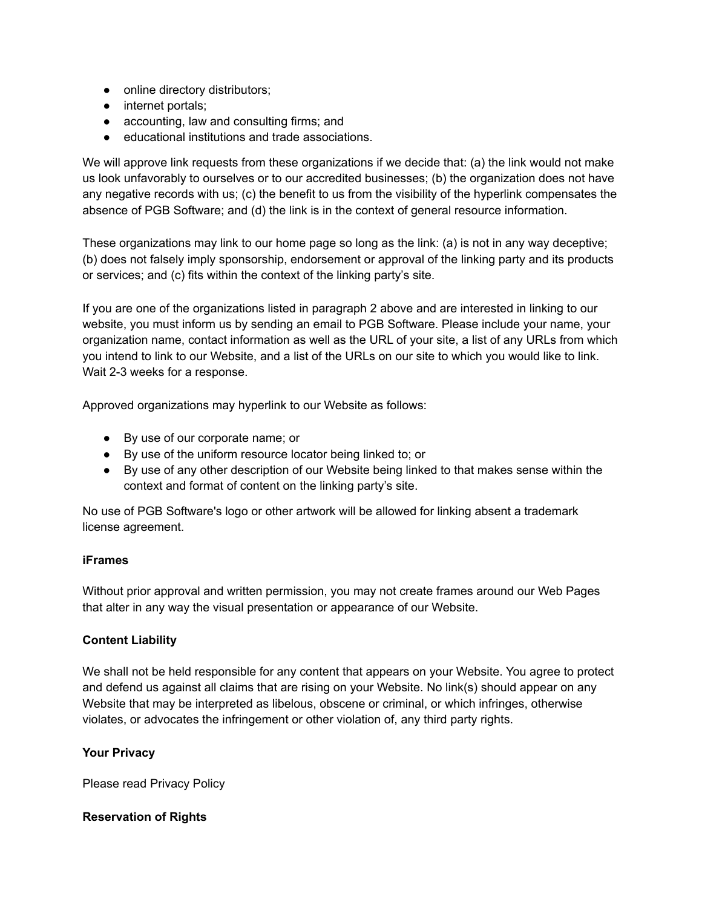- online directory distributors;
- internet portals;
- accounting, law and consulting firms; and
- educational institutions and trade associations.

We will approve link requests from these organizations if we decide that: (a) the link would not make us look unfavorably to ourselves or to our accredited businesses; (b) the organization does not have any negative records with us; (c) the benefit to us from the visibility of the hyperlink compensates the absence of PGB Software; and (d) the link is in the context of general resource information.

These organizations may link to our home page so long as the link: (a) is not in any way deceptive; (b) does not falsely imply sponsorship, endorsement or approval of the linking party and its products or services; and (c) fits within the context of the linking party's site.

If you are one of the organizations listed in paragraph 2 above and are interested in linking to our website, you must inform us by sending an email to PGB Software. Please include your name, your organization name, contact information as well as the URL of your site, a list of any URLs from which you intend to link to our Website, and a list of the URLs on our site to which you would like to link. Wait 2-3 weeks for a response.

Approved organizations may hyperlink to our Website as follows:

- By use of our corporate name; or
- By use of the uniform resource locator being linked to; or
- By use of any other description of our Website being linked to that makes sense within the context and format of content on the linking party's site.

No use of PGB Software's logo or other artwork will be allowed for linking absent a trademark license agreement.

### **iFrames**

Without prior approval and written permission, you may not create frames around our Web Pages that alter in any way the visual presentation or appearance of our Website.

### **Content Liability**

We shall not be held responsible for any content that appears on your Website. You agree to protect and defend us against all claims that are rising on your Website. No link(s) should appear on any Website that may be interpreted as libelous, obscene or criminal, or which infringes, otherwise violates, or advocates the infringement or other violation of, any third party rights.

#### **Your Privacy**

Please read Privacy Policy

### **Reservation of Rights**